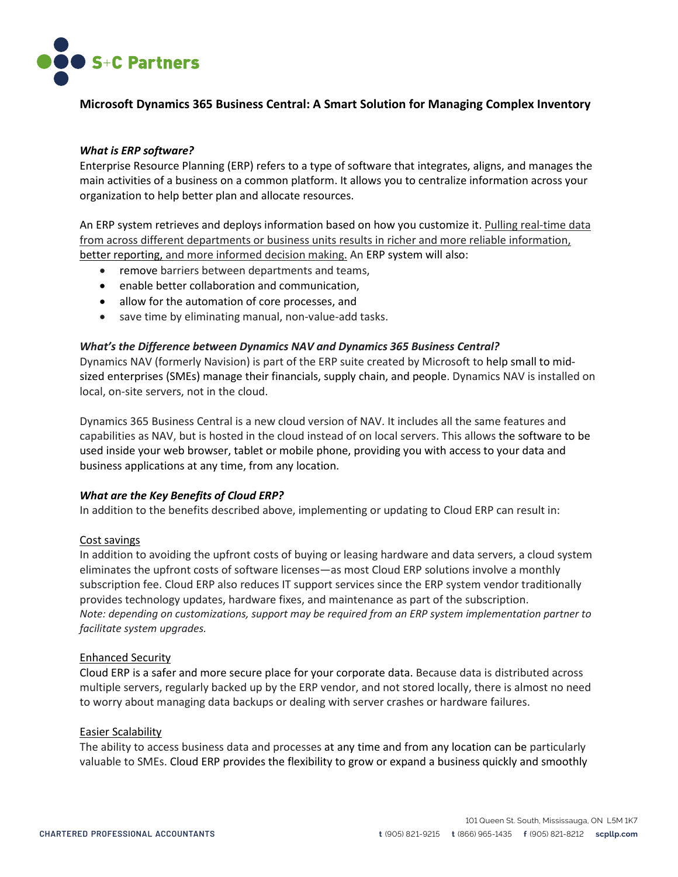

# **Microsoft Dynamics 365 Business Central: A Smart Solution for Managing Complex Inventory**

## *What is ERP software?*

Enterprise Resource Planning (ERP) refers to a type of software that integrates, aligns, and manages the main activities of a business on a common platform. It allows you to centralize information across your organization to help better plan and allocate resources.

An ERP system retrieves and deploys information based on how you customize it. Pulling real-time data from across different departments or business units results in richer and more reliable information, better reporting, and more informed decision making. An ERP system will also:

- remove barriers between departments and teams,
- enable better collaboration and communication,
- allow for the automation of core processes, and
- save time by eliminating manual, non-value-add tasks.

### *What's the Difference between Dynamics NAV and Dynamics 365 Business Central?*

Dynamics NAV (formerly Navision) is part of the ERP suite created by Microsoft to help small to midsized enterprises (SMEs) manage their financials, supply chain, and people. Dynamics NAV is installed on local, on-site servers, not in the cloud.

Dynamics 365 Business Central is a new cloud version of NAV. It includes all the same features and capabilities as NAV, but is hosted in the cloud instead of on local servers. This allows the software to be used inside your web browser, tablet or mobile phone, providing you with access to your data and business applications at any time, from any location.

### *What are the Key Benefits of Cloud ERP?*

In addition to the benefits described above, implementing or updating to Cloud ERP can result in:

### Cost savings

In addition to avoiding the upfront costs of buying or leasing hardware and data servers, a cloud system eliminates the upfront costs of software licenses—as most Cloud ERP solutions involve a monthly subscription fee. Cloud ERP also reduces IT support services since the ERP system vendor traditionally provides technology updates, hardware fixes, and maintenance as part of the subscription. *Note: depending on customizations, support may be required from an ERP system implementation partner to facilitate system upgrades.* 

### Enhanced Security

Cloud ERP is a safer and more secure place for your corporate data. Because data is distributed across multiple servers, regularly backed up by the ERP vendor, and not stored locally, there is almost no need to worry about managing data backups or dealing with server crashes or hardware failures.

### Easier Scalability

The ability to access business data and processes at any time and from any location can be particularly valuable to SMEs. Cloud ERP provides the flexibility to grow or expand a business quickly and smoothly